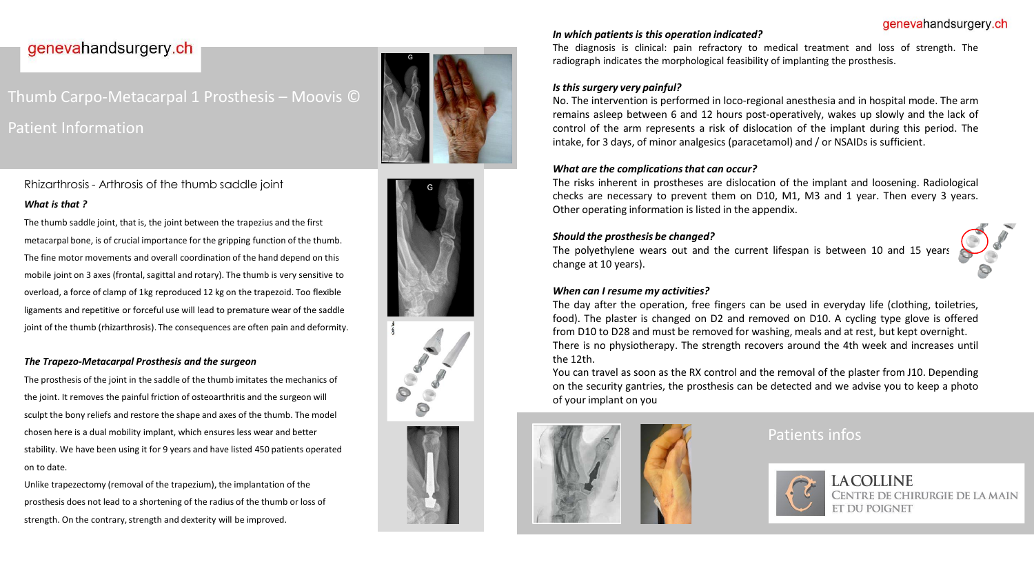#### genevahandsurgery.ch

## genevahandsurgery.ch

# Thumb Carpo-Metacarpal 1 Prosthesis – Moovis © Patient Information

Rhizarthrosis - Arthrosis of the thumb saddle joint *What is that ?*

The thumb saddle joint, that is, the joint between the trapezius and the first metacarpal bone, is of crucial importance for the gripping function of the thumb. The fine motor movements and overall coordination of the hand depend on this mobile joint on 3 axes (frontal, sagittal and rotary). The thumb is very sensitive to overload, a force of clamp of 1kg reproduced 12 kg on the trapezoid. Too flexible ligaments and repetitive or forceful use will lead to premature wear of the saddle joint of the thumb (rhizarthrosis). The consequences are often pain and deformity.

#### *The Trapezo-Metacarpal Prosthesis and the surgeon*

The prosthesis of the joint in the saddle of the thumb imitates the mechanics of the joint. It removes the painful friction of osteoarthritis and the surgeon will sculpt the bony reliefs and restore the shape and axes of the thumb. The model chosen here is a dual mobility implant, which ensures less wear and better stability. We have been using it for 9 years and have listed 450 patients operated on to date.

Unlike trapezectomy (removal of the trapezium), the implantation of the prosthesis does not lead to a shortening of the radius of the thumb or loss of strength. On the contrary, strength and dexterity will be improved.









#### *In which patientsis this operation indicated?*

The diagnosis is clinical: pain refractory to medical treatment and loss of strength. The radiograph indicates the morphological feasibility of implanting the prosthesis.

#### *Is this surgery very painful?*

No. The intervention is performed in loco-regional anesthesia and in hospital mode. The arm remains asleep between 6 and 12 hours post-operatively, wakes up slowly and the lack of control of the arm represents a risk of dislocation of the implant during this period. The intake, for 3 days, of minor analgesics (paracetamol) and / or NSAIDs is sufficient.

#### *What are the complicationsthat can occur?*

The risks inherent in prostheses are dislocation of the implant and loosening. Radiological checks are necessary to prevent them on D10, M1, M3 and 1 year. Then every 3 years. Other operating information is listed in the appendix.

#### *Should the prosthesis be changed?*

The polyethylene wears out and the current lifespan is between 10 and 15 years change at 10 years).

## *When can I resume my activities?*

The day after the operation, free fingers can be used in everyday life (clothing, toiletries, food). The plaster is changed on D2 and removed on D10. A cycling type glove is offered from D10 to D28 and must be removed for washing, meals and at rest, but kept overnight. There is no physiotherapy. The strength recovers around the 4th week and increases until the 12th.

You can travel as soon as the RX control and the removal of the plaster from J10. Depending on the security gantries, the prosthesis can be detected and we advise you to keep a photo of your implant on you



### Patients infos



CENTRE DE CHIRURGIE DE LA MAIN **ET DU POIGNET**